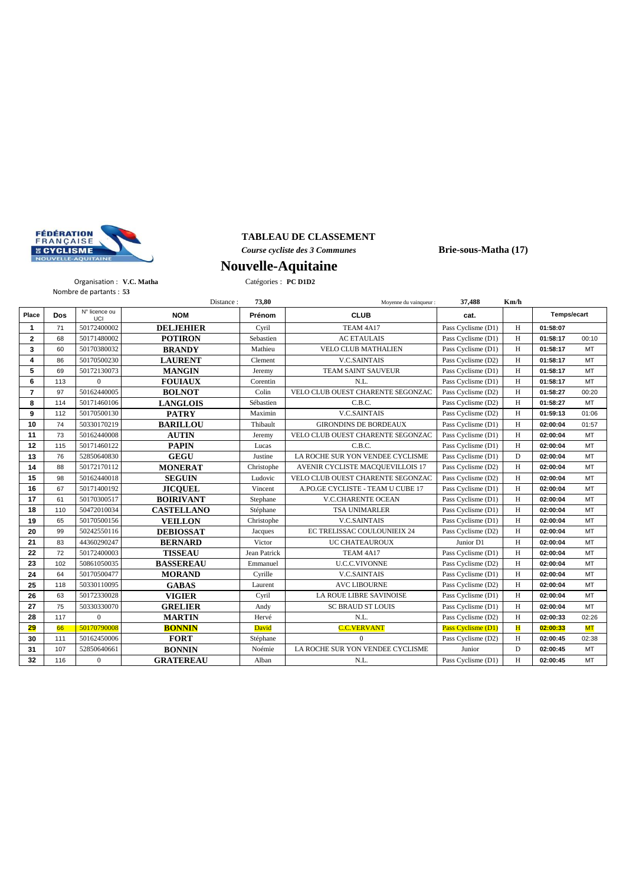

## **TABLEAU DE CLASSEMENT**

*Course cycliste des 3 Communes* **Brie-sous-Matha (17)**

### Organisation : **V.C. Matha** Catégories : **PC D1D2** Nombre de partants : **53**

**Nouvelle-Aquitaine**

|                |            |                        | Distance:         | 73,80        | Moyenne du vainqueur :            | 37,488             | Km/h |             |           |
|----------------|------------|------------------------|-------------------|--------------|-----------------------------------|--------------------|------|-------------|-----------|
| Place          | <b>Dos</b> | $N°$ licence ou<br>UCI | <b>NOM</b>        | Prénom       | <b>CLUB</b>                       | cat.               |      | Temps/ecart |           |
| 1              | 71         | 50172400002            | <b>DELJEHIER</b>  | Cyril        | TEAM 4A17                         | Pass Cyclisme (D1) | H    | 01:58:07    |           |
| $\mathbf{2}$   | 68         | 50171480002            | <b>POTIRON</b>    | Sebastien    | <b>AC ETAULAIS</b>                | Pass Cyclisme (D1) | H    | 01:58:17    | 00:10     |
| 3              | 60         | 50170380032            | <b>BRANDY</b>     | Mathieu      | <b>VELO CLUB MATHALIEN</b>        | Pass Cyclisme (D1) | H    | 01:58:17    | MT        |
| 4              | 86         | 50170500230            | <b>LAURENT</b>    | Clement      | <b>V.C.SAINTAIS</b>               | Pass Cyclisme (D2) | H    | 01:58:17    | MT        |
| 5              | 69         | 50172130073            | <b>MANGIN</b>     | Jeremy       | <b>TEAM SAINT SAUVEUR</b>         | Pass Cyclisme (D1) | H    | 01:58:17    | MT        |
| 6              | 113        | $\theta$               | <b>FOUIAUX</b>    | Corentin     | N.L.                              | Pass Cyclisme (D1) | H    | 01:58:17    | <b>MT</b> |
| $\overline{7}$ | 97         | 50162440005            | <b>BOLNOT</b>     | Colin        | VELO CLUB OUEST CHARENTE SEGONZAC | Pass Cyclisme (D2) | H    | 01:58:27    | 00:20     |
| 8              | 114        | 50171460106            | <b>LANGLOIS</b>   | Sébastien    | C.B.C.                            | Pass Cyclisme (D2) | H    | 01:58:27    | <b>MT</b> |
| 9              | 112        | 50170500130            | <b>PATRY</b>      | Maximin      | <b>V.C.SAINTAIS</b>               | Pass Cyclisme (D2) | H    | 01:59:13    | 01:06     |
| 10             | 74         | 50330170219            | <b>BARILLOU</b>   | Thibault     | <b>GIRONDINS DE BORDEAUX</b>      | Pass Cyclisme (D1) | H    | 02:00:04    | 01:57     |
| 11             | 73         | 50162440008            | <b>AUTIN</b>      | Jeremy       | VELO CLUB OUEST CHARENTE SEGONZAC | Pass Cyclisme (D1) | H    | 02:00:04    | <b>MT</b> |
| 12             | 115        | 50171460122            | <b>PAPIN</b>      | Lucas        | C.B.C.                            | Pass Cyclisme (D1) | H    | 02:00:04    | MT        |
| 13             | 76         | 52850640830            | <b>GEGU</b>       | Justine      | LA ROCHE SUR YON VENDEE CYCLISME  | Pass Cyclisme (D1) | D    | 02:00:04    | MT        |
| 14             | 88         | 50172170112            | <b>MONERAT</b>    | Christophe   | AVENIR CYCLISTE MACQUEVILLOIS 17  | Pass Cyclisme (D2) | H    | 02:00:04    | <b>MT</b> |
| 15             | 98         | 50162440018            | <b>SEGUIN</b>     | Ludovic      | VELO CLUB OUEST CHARENTE SEGONZAC | Pass Cyclisme (D2) | H    | 02:00:04    | MT        |
| 16             | 67         | 50171400192            | <b>JICOUEL</b>    | Vincent      | A.PO.GE CYCLISTE - TEAM U CUBE 17 | Pass Cyclisme (D1) | H    | 02:00:04    | MT        |
| 17             | 61         | 50170300517            | <b>BOIRIVANT</b>  | Stephane     | <b>V.C.CHARENTE OCEAN</b>         | Pass Cyclisme (D1) | H    | 02:00:04    | MT        |
| 18             | 110        | 50472010034            | <b>CASTELLANO</b> | Stéphane     | <b>TSA UNIMARLER</b>              | Pass Cyclisme (D1) | H    | 02:00:04    | <b>MT</b> |
| 19             | 65         | 50170500156            | <b>VEILLON</b>    | Christophe   | <b>V.C.SAINTAIS</b>               | Pass Cyclisme (D1) | H    | 02:00:04    | MT        |
| 20             | 99         | 50242550116            | <b>DEBIOSSAT</b>  | Jacques      | EC TRELISSAC COULOUNIEIX 24       | Pass Cyclisme (D2) | H    | 02:00:04    | MT        |
| 21             | 83         | 44360290247            | <b>BERNARD</b>    | Victor       | UC CHATEAUROUX                    | Junior D1          | H    | 02:00:04    | MT        |
| 22             | 72         | 50172400003            | <b>TISSEAU</b>    | Jean Patrick | TEAM 4A17                         | Pass Cyclisme (D1) | H    | 02:00:04    | MT        |
| 23             | 102        | 50861050035            | <b>BASSEREAU</b>  | Emmanuel     | <b>U.C.C.VIVONNE</b>              | Pass Cyclisme (D2) | H    | 02:00:04    | <b>MT</b> |
| 24             | 64         | 50170500477            | <b>MORAND</b>     | Cyrille      | <b>V.C.SAINTAIS</b>               | Pass Cyclisme (D1) | H    | 02:00:04    | MT        |
| 25             | 118        | 50330110095            | <b>GABAS</b>      | Laurent      | <b>AVC LIBOURNE</b>               | Pass Cyclisme (D2) | H    | 02:00:04    | MT        |
| 26             | 63         | 50172330028            | <b>VIGIER</b>     | Cyril        | LA ROUE LIBRE SAVINOISE           | Pass Cyclisme (D1) | H    | 02:00:04    | MT        |
| 27             | 75         | 50330330070            | <b>GRELIER</b>    | Andy         | <b>SC BRAUD ST LOUIS</b>          | Pass Cyclisme (D1) | H    | 02:00:04    | MT        |
| 28             | 117        | $\mathbf{0}$           | <b>MARTIN</b>     | Hervé        | N.L.                              | Pass Cyclisme (D2) | H    | 02:00:33    | 02:26     |
| 29             | 66         | 50170790008            | <b>BONNIN</b>     | David        | <b>C.C.VERVANT</b>                | Pass Cyclisme (D1) | H    | 02:00:33    | <b>MT</b> |
| 30             | 111        | 50162450006            | <b>FORT</b>       | Stéphane     | $\Omega$                          | Pass Cyclisme (D2) | H    | 02:00:45    | 02:38     |
| 31             | 107        | 52850640661            | <b>BONNIN</b>     | Noémie       | LA ROCHE SUR YON VENDEE CYCLISME  | Junior             | D    | 02:00:45    | <b>MT</b> |
| 32             | 116        | $\mathbf{0}$           | <b>GRATEREAU</b>  | Alban        | N.L.                              | Pass Cyclisme (D1) | H    | 02:00:45    | <b>MT</b> |